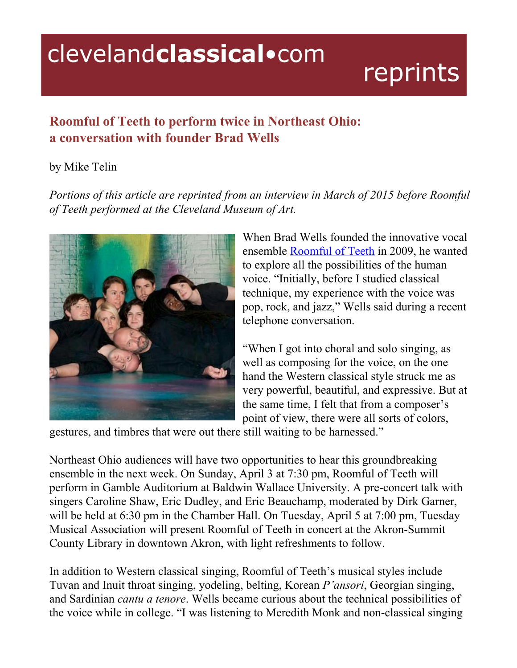## clevelandclassical.com

## reprints

## **Roomful of Teeth to perform twice in Northeast Ohio: a conversation with founder Brad Wells**

## by Mike Telin

*Portions of this article are reprinted from an interview in March of 2015 before Roomful of Teeth performed at the Cleveland Museum of Art.*



When Brad Wells founded the innovative vocal ensemble [Roomful](http://www.clevelandart.org/events/music-and-performances/roomful-of-teeth) of Teeth in 2009, he wanted to explore all the possibilities of the human voice. "Initially, before I studied classical technique, my experience with the voice was pop, rock, and jazz," Wells said during a recent telephone conversation.

"When I got into choral and solo singing, as well as composing for the voice, on the one hand the Western classical style struck me as very powerful, beautiful, and expressive. But at the same time, I felt that from a composer's point of view, there were all sorts of colors,

gestures, and timbres that were out there still waiting to be harnessed."

Northeast Ohio audiences will have two opportunities to hear this groundbreaking ensemble in the next week. On Sunday, April 3 at 7:30 pm, Roomful of Teeth will perform in Gamble Auditorium at Baldwin Wallace University. A pre-concert talk with singers Caroline Shaw, Eric Dudley, and Eric Beauchamp, moderated by Dirk Garner, will be held at 6:30 pm in the Chamber Hall. On Tuesday, April 5 at 7:00 pm, Tuesday Musical Association will present Roomful of Teeth in concert at the Akron-Summit County Library in downtown Akron, with light refreshments to follow.

In addition to Western classical singing, Roomful of Teeth's musical styles include Tuvan and Inuit throat singing, yodeling, belting, Korean *P'ansori*, Georgian singing, and Sardinian *cantu a tenore*. Wells became curious about the technical possibilities of the voice while in college. "I was listening to Meredith Monk and nonclassical singing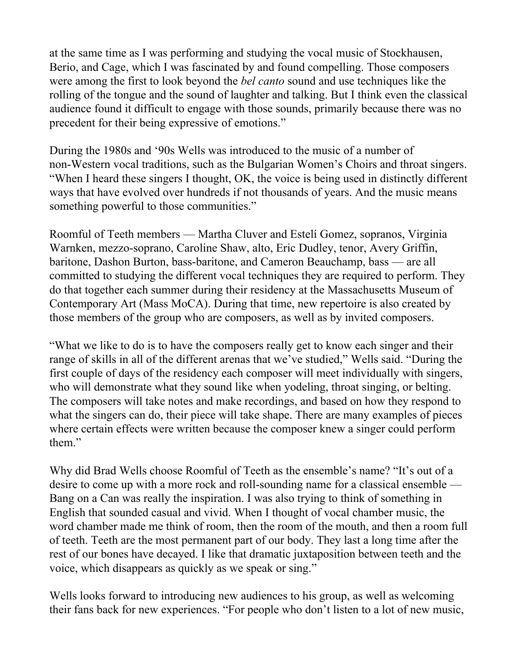at the same time as I was performing and studying the vocal music of Stockhausen, Berio, and Cage, which I was fascinated by and found compelling. Those composers were among the first to look beyond the *bel canto* sound and use techniques like the rolling of the tongue and the sound of laughter and talking. But I think even the classical audience found it difficult to engage with those sounds, primarily because there was no precedent for their being expressive of emotions."

During the 1980s and '90s Wells was introduced to the music of a number of non-Western vocal traditions, such as the Bulgarian Women's Choirs and throat singers. "When I heard these singers I thought, OK, the voice is being used in distinctly different ways that have evolved over hundreds if not thousands of years. And the music means something powerful to those communities."

Roomful of Teeth members — Martha Cluver and Estelí Gomez, sopranos, Virginia Warnken, mezzo-soprano, Caroline Shaw, alto, Eric Dudley, tenor, Avery Griffin, baritone, Dashon Burton, bass-baritone, and Cameron Beauchamp, bass — are all committed to studying the different vocal techniques they are required to perform. They do that together each summer during their residency at the Massachusetts Museum of Contemporary Art (Mass MoCA). During that time, new repertoire is also created by those members of the group who are composers, as well as by invited composers.

"What we like to do is to have the composers really get to know each singer and their range of skills in all of the different arenas that we've studied," Wells said. "During the first couple of days of the residency each composer will meet individually with singers, who will demonstrate what they sound like when yodeling, throat singing, or belting. The composers will take notes and make recordings, and based on how they respond to what the singers can do, their piece will take shape. There are many examples of pieces where certain effects were written because the composer knew a singer could perform them."

Why did Brad Wells choose Roomful of Teeth as the ensemble's name? "It's out of a desire to come up with a more rock and roll-sounding name for a classical ensemble — Bang on a Can was really the inspiration. I was also trying to think of something in English that sounded casual and vivid. When I thought of vocal chamber music, the word chamber made me think of room, then the room of the mouth, and then a room full of teeth. Teeth are the most permanent part of our body. They last a long time after the rest of our bones have decayed. I like that dramatic juxtaposition between teeth and the voice, which disappears as quickly as we speak or sing."

Wells looks forward to introducing new audiences to his group, as well as welcoming their fans back for new experiences. "For people who don't listen to a lot of new music,